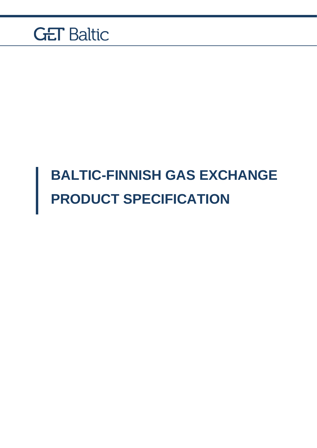## **BALTIC-FINNISH GAS EXCHANGE PRODUCT SPECIFICATION**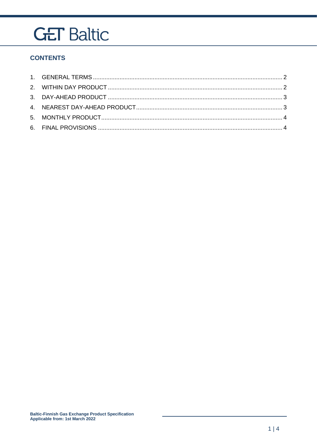### **CONTENTS**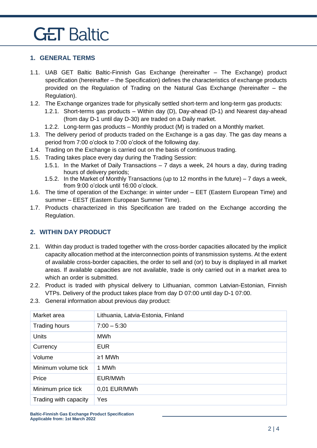#### <span id="page-2-0"></span>**1. GENERAL TERMS**

- 1.1. UAB GET Baltic Baltic-Finnish Gas Exchange (hereinafter The Exchange) product specification (hereinafter – the Specification) defines the characteristics of exchange products provided on the Regulation of Trading on the Natural Gas Exchange (hereinafter – the Regulation).
- 1.2. The Exchange organizes trade for physically settled short-term and long-term gas products:
	- 1.2.1. Short-terms gas products Within day (D), Day-ahead (D-1) and Nearest day-ahead (from day D-1 until day D-30) are traded on a Daily market.
	- 1.2.2. Long-term gas products Monthly product (M) is traded on a Monthly market.
- 1.3. The delivery period of products traded on the Exchange is a gas day. The gas day means a period from 7:00 o'clock to 7:00 o'clock of the following day.
- 1.4. Trading on the Exchange is carried out on the basis of continuous trading.
- 1.5. Trading takes place every day during the Trading Session:
	- 1.5.1. In the Market of Daily Transactions 7 days a week, 24 hours a day, during trading hours of delivery periods;
	- 1.5.2. In the Market of Monthly Transactions (up to 12 months in the future) 7 days a week, from 9:00 o'clock until 16:00 o'clock.
- 1.6. The time of operation of the Exchange: in winter under EET (Eastern European Time) and summer – EEST (Eastern European Summer Time).
- 1.7. Products characterized in this Specification are traded on the Exchange according the Regulation.

### <span id="page-2-1"></span>**2. WITHIN DAY PRODUCT**

- 2.1. Within day product is traded together with the cross-border capacities allocated by the implicit capacity allocation method at the interconnection points of transmission systems. At the extent of available cross-border capacities, the order to sell and (or) to buy is displayed in all market areas. If available capacities are not available, trade is only carried out in a market area to which an order is submitted.
- 2.2. Product is traded with physical delivery to Lithuanian, common Latvian-Estonian, Finnish VTPs. Delivery of the product takes place from day D 07:00 until day D-1 07:00.
- 2.3. General information about previous day product:

| Market area           | Lithuania, Latvia-Estonia, Finland |
|-----------------------|------------------------------------|
| Trading hours         | $7:00 - 5:30$                      |
| <b>Units</b>          | MWh                                |
| Currency              | <b>EUR</b>                         |
| Volume                | $\geq$ 1 MWh                       |
| Minimum volume tick   | 1 MWh                              |
| Price                 | EUR/MWh                            |
| Minimum price tick    | 0,01 EUR/MWh                       |
| Trading with capacity | Yes                                |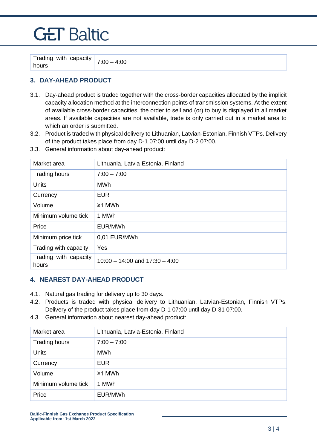Trading with capacity  $\begin{array}{|c|c|c|c|c|}\n \hline \text{Hounding with } \text{Chapter 7:00} - 4:00 \\
\hline \end{array}$ 

### <span id="page-3-0"></span>**3. DAY-AHEAD PRODUCT**

- 3.1. Day-ahead product is traded together with the cross-border capacities allocated by the implicit capacity allocation method at the interconnection points of transmission systems. At the extent of available cross-border capacities, the order to sell and (or) to buy is displayed in all market areas. If available capacities are not available, trade is only carried out in a market area to which an order is submitted.
- 3.2. Product is traded with physical delivery to Lithuanian, Latvian-Estonian, Finnish VTPs. Delivery of the product takes place from day D-1 07:00 until day D-2 07:00.
- 3.3. General information about day-ahead product:

| Market area                    | Lithuania, Latvia-Estonia, Finland |
|--------------------------------|------------------------------------|
| <b>Trading hours</b>           | $7:00 - 7:00$                      |
| <b>Units</b>                   | MWh                                |
| Currency                       | <b>EUR</b>                         |
| Volume                         | $\geq$ 1 MWh                       |
| Minimum volume tick            | 1 MWh                              |
| Price                          | EUR/MWh                            |
| Minimum price tick             | 0,01 EUR/MWh                       |
| Trading with capacity          | Yes                                |
| Trading with capacity<br>hours | $10:00 - 14:00$ and $17:30 - 4:00$ |

#### <span id="page-3-1"></span>**4. NEAREST DAY-AHEAD PRODUCT**

- 4.1. Natural gas trading for delivery up to 30 days.
- 4.2. Products is traded with physical delivery to Lithuanian, Latvian-Estonian, Finnish VTPs. Delivery of the product takes place from day D-1 07:00 until day D-31 07:00.
- 4.3. General information about nearest day-ahead product:

| Market area          | Lithuania, Latvia-Estonia, Finland |
|----------------------|------------------------------------|
| <b>Trading hours</b> | $7:00 - 7:00$                      |
| Units                | MWh                                |
| Currency             | <b>EUR</b>                         |
| Volume               | ≥1 MWh                             |
| Minimum volume tick  | 1 MWh                              |
| Price                | EUR/MWh                            |